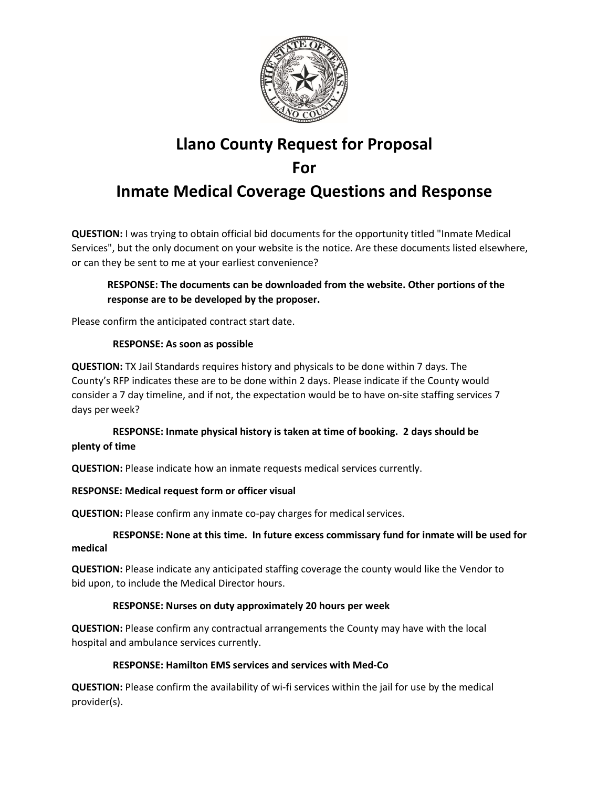

# **Llano County Request for Proposal For**

## **Inmate Medical Coverage Questions and Response**

**QUESTION:** I was trying to obtain official bid documents for the opportunity titled "Inmate Medical Services", but the only document on your website is the notice. Are these documents listed elsewhere, or can they be sent to me at your earliest convenience?

#### **RESPONSE: The documents can be downloaded from the website. Other portions of the response are to be developed by the proposer.**

Please confirm the anticipated contract start date.

#### **RESPONSE: As soon as possible**

**QUESTION:** TX Jail Standards requires history and physicals to be done within 7 days. The County's RFP indicates these are to be done within 2 days. Please indicate if the County would consider a 7 day timeline, and if not, the expectation would be to have on-site staffing services 7 days perweek?

### **RESPONSE: Inmate physical history is taken at time of booking. 2 days should be plenty of time**

**QUESTION:** Please indicate how an inmate requests medical services currently.

#### **RESPONSE: Medical request form or officer visual**

**QUESTION:** Please confirm any inmate co-pay charges for medical services.

#### **RESPONSE: None at this time. In future excess commissary fund for inmate will be used for medical**

**QUESTION:** Please indicate any anticipated staffing coverage the county would like the Vendor to bid upon, to include the Medical Director hours.

#### **RESPONSE: Nurses on duty approximately 20 hours per week**

**QUESTION:** Please confirm any contractual arrangements the County may have with the local hospital and ambulance services currently.

#### **RESPONSE: Hamilton EMS services and services with Med-Co**

**QUESTION:** Please confirm the availability of wi-fi services within the jail for use by the medical provider(s).